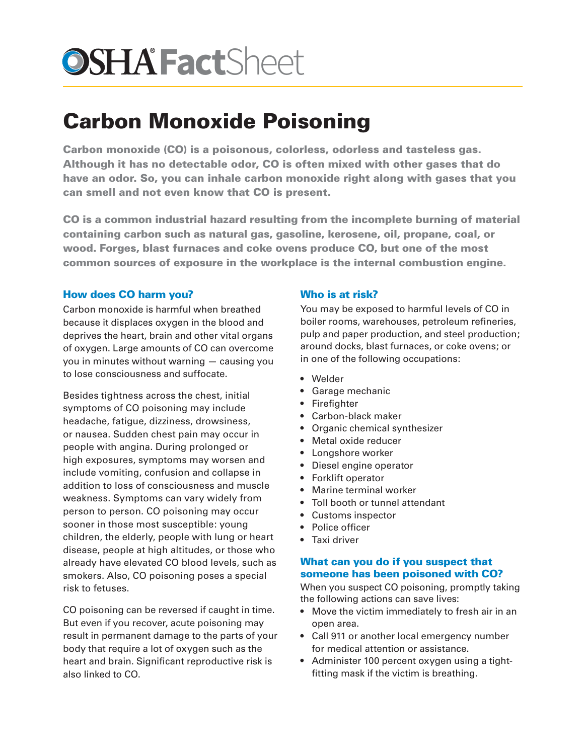# **OSHA FactSheet**

## Carbon Monoxide Poisoning

Carbon monoxide (CO) is a poisonous, colorless, odorless and tasteless gas. Although it has no detectable odor, CO is often mixed with other gases that do have an odor. So, you can inhale carbon monoxide right along with gases that you can smell and not even know that CO is present.

CO is a common industrial hazard resulting from the incomplete burning of material containing carbon such as natural gas, gasoline, kerosene, oil, propane, coal, or wood. Forges, blast furnaces and coke ovens produce CO, but one of the most common sources of exposure in the workplace is the internal combustion engine.

#### How does CO harm you?

Carbon monoxide is harmful when breathed because it displaces oxygen in the blood and deprives the heart, brain and other vital organs of oxygen. Large amounts of CO can overcome you in minutes without warning — causing you to lose consciousness and suffocate.

Besides tightness across the chest, initial symptoms of CO poisoning may include headache, fatigue, dizziness, drowsiness, or nausea. Sudden chest pain may occur in people with angina. During prolonged or high exposures, symptoms may worsen and include vomiting, confusion and collapse in addition to loss of consciousness and muscle weakness. Symptoms can vary widely from person to person. CO poisoning may occur sooner in those most susceptible: young children, the elderly, people with lung or heart disease, people at high altitudes, or those who already have elevated CO blood levels, such as smokers. Also, CO poisoning poses a special risk to fetuses.

CO poisoning can be reversed if caught in time. But even if you recover, acute poisoning may result in permanent damage to the parts of your body that require a lot of oxygen such as the heart and brain. Significant reproductive risk is also linked to CO.

#### Who is at risk?

You may be exposed to harmful levels of CO in boiler rooms, warehouses, petroleum refineries, pulp and paper production, and steel production; around docks, blast furnaces, or coke ovens; or in one of the following occupations:

- Welder
- Garage mechanic
- Firefighter
- Carbon-black maker
- Organic chemical synthesizer
- Metal oxide reducer
- Longshore worker
- Diesel engine operator
- Forklift operator
- Marine terminal worker
- Toll booth or tunnel attendant
- Customs inspector
- Police officer
- Taxi driver

#### What can you do if you suspect that someone has been poisoned with CO?

When you suspect CO poisoning, promptly taking the following actions can save lives:

- Move the victim immediately to fresh air in an open area.
- Call 911 or another local emergency number for medical attention or assistance.
- Administer 100 percent oxygen using a tightfitting mask if the victim is breathing.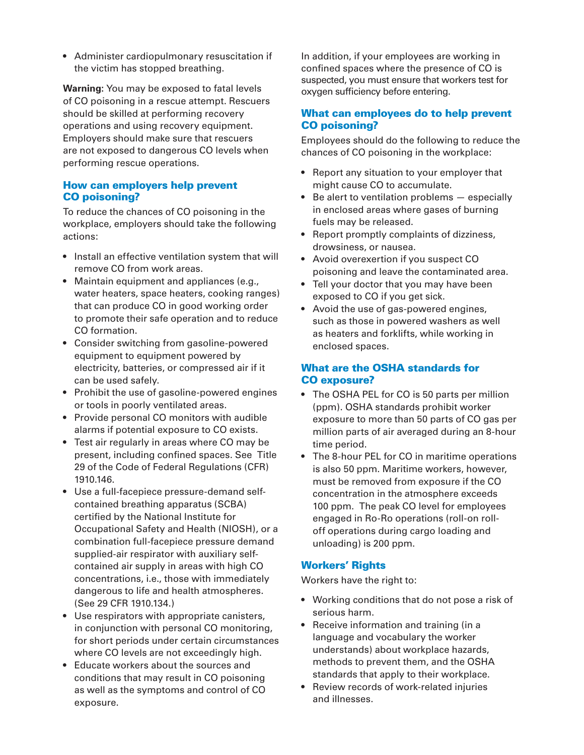• Administer cardiopulmonary resuscitation if the victim has stopped breathing.

**Warning:** You may be exposed to fatal levels of CO poisoning in a rescue attempt. Rescuers should be skilled at performing recovery operations and using recovery equipment. Employers should make sure that rescuers are not exposed to dangerous CO levels when performing rescue operations.

#### How can employers help prevent CO poisoning?

To reduce the chances of CO poisoning in the workplace, employers should take the following actions:

- Install an effective ventilation system that will remove CO from work areas.
- Maintain equipment and appliances (e.g., water heaters, space heaters, cooking ranges) that can produce CO in good working order to promote their safe operation and to reduce CO formation.
- Consider switching from gasoline-powered equipment to equipment powered by electricity, batteries, or compressed air if it can be used safely.
- Prohibit the use of gasoline-powered engines or tools in poorly ventilated areas.
- Provide personal CO monitors with audible alarms if potential exposure to CO exists.
- Test air regularly in areas where CO may be present, including confined spaces. See Title 29 of the Code of Federal Regulations (CFR) 1910.146.
- Use a full-facepiece pressure-demand selfcontained breathing apparatus (SCBA) certified by the National Institute for Occupational Safety and Health (NIOSH), or a combination full-facepiece pressure demand supplied-air respirator with auxiliary selfcontained air supply in areas with high CO concentrations, i.e., those with immediately dangerous to life and health atmospheres. (See 29 CFR 1910.134.)
- Use respirators with appropriate canisters, in conjunction with personal CO monitoring, for short periods under certain circumstances where CO levels are not exceedingly high.
- Educate workers about the sources and conditions that may result in CO poisoning as well as the symptoms and control of CO exposure.

In addition, if your employees are working in confined spaces where the presence of CO is suspected, you must ensure that workers test for oxygen sufficiency before entering.

#### What can employees do to help prevent CO poisoning?

Employees should do the following to reduce the chances of CO poisoning in the workplace:

- Report any situation to your employer that might cause CO to accumulate.
- Be alert to ventilation problems especially in enclosed areas where gases of burning fuels may be released.
- Report promptly complaints of dizziness, drowsiness, or nausea.
- Avoid overexertion if you suspect CO poisoning and leave the contaminated area.
- Tell your doctor that you may have been exposed to CO if you get sick.
- Avoid the use of gas-powered engines, such as those in powered washers as well as heaters and forklifts, while working in enclosed spaces.

#### What are the OSHA standards for CO exposure?

- The OSHA PEL for CO is 50 parts per million (ppm). OSHA standards prohibit worker exposure to more than 50 parts of CO gas per million parts of air averaged during an 8-hour time period.
- The 8-hour PEL for CO in maritime operations is also 50 ppm. Maritime workers, however, must be removed from exposure if the CO concentration in the atmosphere exceeds 100 ppm. The peak CO level for employees engaged in Ro-Ro operations (roll-on rolloff operations during cargo loading and unloading) is 200 ppm.

### Workers' Rights

Workers have the right to:

- Working conditions that do not pose a risk of serious harm.
- Receive information and training (in a language and vocabulary the worker understands) about workplace hazards, methods to prevent them, and the OSHA standards that apply to their workplace.
- Review records of work-related injuries and illnesses.